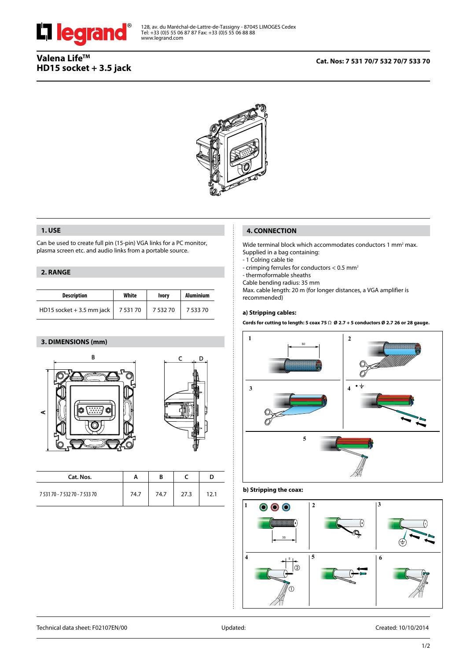

## **Cat. Nos: 7 531 70/7 532 70/7 533 70**



## **1. USE**

Can be used to create full pin (15-pin) VGA links for a PC monitor, plasma screen etc. and audio links from a portable source.

## **2. RANGE**

| <b>Description</b>            | White  | <b>Ivory</b> | <b>Aluminium</b> |  |
|-------------------------------|--------|--------------|------------------|--|
| HD15 socket + 3.5 mm jack $ $ | 753170 | 753270       | 7 533 70         |  |

## **3. DIMENSIONS (mm)**





| Cat. Nos.                      |      | B    |      |      |
|--------------------------------|------|------|------|------|
| 7 531 70 - 7 532 70 - 7 533 70 | 74.7 | 74.7 | 27.3 | 12.1 |

# **4. CONNECTION**

Wide terminal block which accommodates conductors 1 mm<sup>2</sup> max. Supplied in a bag containing:

- 1 Colring cable tie

- crimping ferrules for conductors < 0.5 mm<sup>2</sup>

- thermoformable sheaths

Cable bending radius: 35 mm

Max. cable length: 20 m (for longer distances, a VGA amplifier is recommended)

## **a) Stripping cables:**

**Cords for cutting to length: 5 coax 75** Ω **Ø 2.7 + 5 conductors Ø 2.7 26 or 28 gauge.**



# **b) Stripping the coax:**